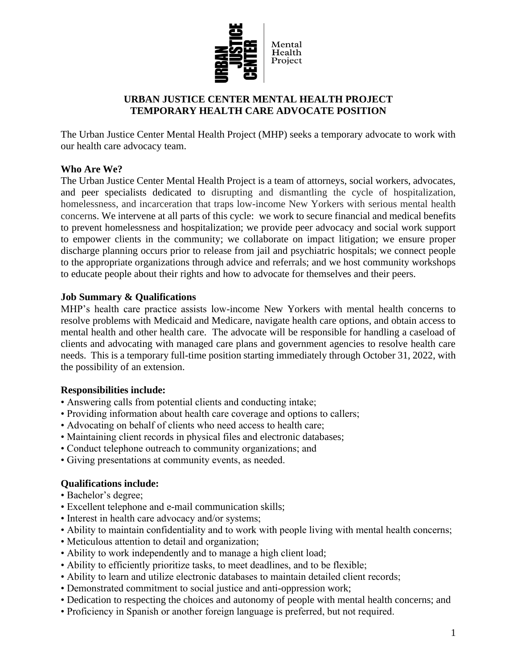

# **URBAN JUSTICE CENTER MENTAL HEALTH PROJECT TEMPORARY HEALTH CARE ADVOCATE POSITION**

The Urban Justice Center Mental Health Project (MHP) seeks a temporary advocate to work with our health care advocacy team.

### **Who Are We?**

The Urban Justice Center Mental Health Project is a team of attorneys, social workers, advocates, and peer specialists dedicated to disrupting and dismantling the cycle of hospitalization, homelessness, and incarceration that traps low-income New Yorkers with serious mental health concerns. We intervene at all parts of this cycle: we work to secure financial and medical benefits to prevent homelessness and hospitalization; we provide peer advocacy and social work support to empower clients in the community; we collaborate on impact litigation; we ensure proper discharge planning occurs prior to release from jail and psychiatric hospitals; we connect people to the appropriate organizations through advice and referrals; and we host community workshops to educate people about their rights and how to advocate for themselves and their peers.

# **Job Summary & Qualifications**

MHP's health care practice assists low-income New Yorkers with mental health concerns to resolve problems with Medicaid and Medicare, navigate health care options, and obtain access to mental health and other health care. The advocate will be responsible for handling a caseload of clients and advocating with managed care plans and government agencies to resolve health care needs. This is a temporary full-time position starting immediately through October 31, 2022, with the possibility of an extension.

#### **Responsibilities include:**

- Answering calls from potential clients and conducting intake;
- Providing information about health care coverage and options to callers;
- Advocating on behalf of clients who need access to health care;
- Maintaining client records in physical files and electronic databases;
- Conduct telephone outreach to community organizations; and
- Giving presentations at community events, as needed.

# **Qualifications include:**

- Bachelor's degree;
- Excellent telephone and e-mail communication skills;
- Interest in health care advocacy and/or systems;
- Ability to maintain confidentiality and to work with people living with mental health concerns;
- Meticulous attention to detail and organization;
- Ability to work independently and to manage a high client load;
- Ability to efficiently prioritize tasks, to meet deadlines, and to be flexible;
- Ability to learn and utilize electronic databases to maintain detailed client records;
- Demonstrated commitment to social justice and anti-oppression work;
- Dedication to respecting the choices and autonomy of people with mental health concerns; and
- Proficiency in Spanish or another foreign language is preferred, but not required.